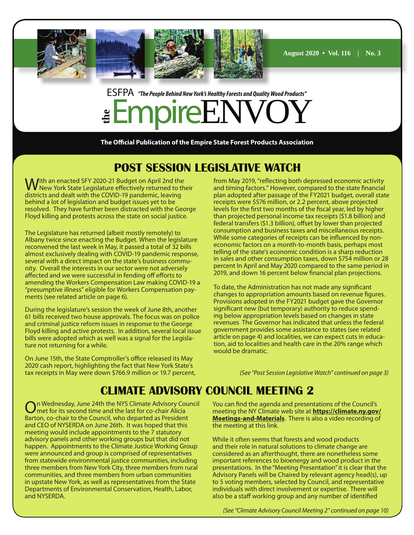

## ESFPA *"The People Behind New York's Healthy Forests and Quality Wood Products"* **the** EmpireENVOY

**The Official Publication of the Empire State Forest Products Association**

## **POST SESSION LEGISLATIVE WATCH**

With an enacted SFY 2020-21 Budget on April 2nd the<br>WNew York State Legislature effectively returned to their districts and dealt with the COVID-19 pandemic, leaving behind a lot of legislation and budget issues yet to be resolved. They have further been distracted with the George Floyd killing and protests across the state on social justice.

The Legislature has returned (albeit mostly remotely) to Albany twice since enacting the Budget. When the legislature reconvened the last week in May, it passed a total of 32 bills almost exclusively dealing with COVID-19 pandemic response, several with a direct impact on the state's business community. Overall the interests in our sector were not adversely affected and we were successful in fending off efforts to amending the Workers Compensation Law making COVID-19 a "presumptive illness" eligible for Workers Compensation payments (see related article on page 6).

During the legislature's session the week of June 8th, another 61 bills received two house approvals. The focus was on police and criminal justice reform issues in response to the George Floyd killing and active protests. In addition, several local issue bills were adopted which as well was a signal for the Legislature not returning for a while.

On June 15th, the State Comptroller's office released its May 2020 cash report, highlighting the fact that New York State's tax receipts in May were down \$766.9 million or 19.7 percent, from May 2019, "reflecting both depressed economic activity and timing factors." However, compared to the state financial plan adopted after passage of the FY2021 budget, overall state receipts were \$576 million, or 2.2 percent, above projected levels for the first two months of the fiscal year, led by higher than projected personal income tax receipts (\$1.8 billion) and federal transfers (\$1.3 billion), offset by lower than projected consumption and business taxes and miscellaneous receipts. While some categories of receipts can be influenced by noneconomic factors on a month-to-month basis, perhaps most telling of the state's economic condition is a sharp reduction in sales and other consumption taxes, down \$754 million or 28 percent In April and May 2020 compared to the same period in 2019, and down 16 percent below financial plan projections.

To date, the Administration has not made any significant changes to appropriation amounts based on revenue figures. Provisions adopted in the FY2021 budget gave the Governor significant new (but temporary) authority to reduce spending below appropriation levels based on changes in state revenues The Governor has indicated that unless the federal government provides some assistance to states (see related article on page 4) and localities, we can expect cuts in education, aid to localities and health care in the 20% range which would be dramatic.

*(See "Post Session Legislative Watch" continued on page 3)*

## **CLIMATE ADVISORY COUNCIL MEETING 2**

n Wednesday, June 24th the NYS Climate Advisory Council met for its second time and the last for co-chair Alicia Barton, co-chair to the Council, who departed as President and CEO of NYSERDA on June 26th. It was hoped that this meeting would include appointments to the 7 statutory advisory panels and other working groups but that did not happen. Appointments to the Climate Justice Working Group were announced and group is comprised of representatives from statewide environmental justice communities, including three members from New York City, three members from rural communities, and three members from urban communities in upstate New York, as well as representatives from the State Departments of Environmental Conservation, Health, Labor, and NYSERDA.

You can find the agenda and presentations of the Council's meeting the NY Climate web site at **https://climate.ny.gov/ Meetings-and-Materials**. There is also a video recording of the meeting at this link.

While it often seems that forests and wood products and their role in natural solutions to climate change are considered as an afterthought, there are nonetheless some important references to bioenergy and wood product in the presentations. In the "Meeting Presentation" it is clear that the Advisory Panels will be Chaired by relevant agency head(s), up to 5 voting members, selected by Council, and representative individuals with direct involvement or expertise. There will also be a staff working group and any number of identified

*(See "Climate Advisory Council Meeting 2" continued on page 10)*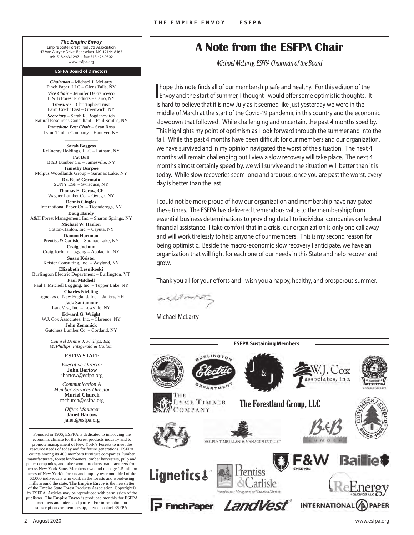#### *The Empire Envoy* Empire State Forest Products Association 47 Van Alstyne Drive, Rensselaer NY 12144-8465 tel: 518.463.1297 • fax: 518.426.9502 www.esfpa.org

#### **ESFPA Board of Directors**

*Chairman* – Michael J. McLarty Finch Paper, LLC – Glens Falls, NY *Vice Chair* – Jennifer DeFrancesco B & B Forest Products – Cairo, NY *Treasurer* – Christopher Truso Farm Credit East – Greenwich, NY *Secretary* – Sarah R. Bogdanovitch Natural Resources Consultant – Paul Smiths, NY *Immediate Past Chair* – Sean Ross Lyme Timber Company – Hanover, NH

 $\overline{\phantom{a}}$ 

**Sarah Boggess**  ReEnergy Holdings, LLC – Latham, NY **Pat Buff** B&B Lumber Co. – Jamesville, NY **Timothy Burpoe**  Molpus Woodlands Group – Saranac Lake, NY **Dr. Renè Germain** SUNY ESF – Syracuse, NY **Thomas E. Gerow, CF**  Wagner Lumber Co. – Owego, NY **Dennis Gingles** International Paper Co. – Ticonderoga, NY **Doug Handy**  A&H Forest Management, Inc. – Sharon Springs, NY **Michael W. Hanlon** Cotton-Hanlon, Inc. – Cayuta, NY **Damon Hartman**  Prentiss & Carlisle – Saranac Lake, NY **Craig Jochum**  Craig Jochum Logging – Apalachin, NY **Susan Keister**  Keister Consulting, Inc. – Wayland, NY **Elizabeth Lesnikoski** Burlington Electric Department – Burlington, VT **Paul Mitchell**  Paul J. Mitchell Logging, Inc. – Tupper Lake, NY **Charles Niebling**  Lignetics of New England, Inc. – Jaffery, NH **Jack Santamour**  LandVest, Inc. – Lowville, NY **Edward G. Wright** W.J. Cox Associates, Inc. – Clarence, NY **John Zemanick**  Gutchess Lumber Co. – Cortland, NY

> *Counsel Dennis J. Phillips, Esq. McPhillips, Fitzgerald & Cullum*

#### **ESFPA STAFF**

*Executive Director* **John Bartow** jbartow@esfpa.org

*Communication & Member Services Director* **Muriel Church** mchurch@esfpa.org

> *Office Manager* **Janet Bartow** janet@esfpa.org

Founded in 1906, ESFPA is dedicated to improving the economic climate for the forest products industry and to promote management of New York's Forests to meet the resource needs of today and for future generations. ESFPA counts among its 400 members furniture companies, lumber manufacturers, forest landowners, timber harvesters, pulp and paper companies, and other wood products manufacturers from across New York State. Members own and manage 1.5 million acres of New York's forests and employ over one-third of the 60,000 individuals who work in the forests and wood-using mills around the state. **The Empire Envoy** is the newsletter of the Empire State Forest Products Association, Copyright© by ESFPA. Articles may be reproduced with permission of the publisher. **The Empire Envoy** is produced monthly for ESFPA members and interested parties. For information on subscriptions or membership, please contact ESFPA.

### **A Note from the ESFPA Chair**

*Michael McLarty, ESFPA Chairman of the Board*

I hope this note finds all of our membership safe and healthy. For this edition of the Envoy and the start of summer, I thought I would offer some optimistic thoughts. It is hard to believe that it is now July as it seemed like just yesterday we were in the middle of March at the start of the Covid-19 pandemic in this country and the economic slowdown that followed. While challenging and uncertain, the past 4 months sped by. This highlights my point of optimism as I look forward through the summer and into the fall. While the past 4 months have been difficult for our members and our organization, we have survived and in my opinion navigated the worst of the situation. The next 4 months will remain challenging but I view a slow recovery will take place. The next 4 months almost certainly speed by, we will survive and the situation will better than it is today. While slow recoveries seem long and arduous, once you are past the worst, every day is better than the last.

I could not be more proud of how our organization and membership have navigated these times. The ESFPA has delivered tremendous value to the membership; from essential business determinations to providing detail to individual companies on federal financial assistance. I take comfort that in a crisis, our organization is only one call away and will work tirelessly to help anyone of our members. This is my second reason for being optimistic. Beside the macro-economic slow recovery I anticipate, we have an organization that will fight for each one of our needs in this State and help recover and grow.

Thank you all for your efforts and I wish you a happy, healthy, and prosperous summer.

**ESFPA Sustaining Members** 

Elizabeth Lesinikoski

 $B = \frac{1}{2}$  $\sqrt{2}$ 

 $\mathbf{I}$   $\mathbf{I}$ Michael McLarty

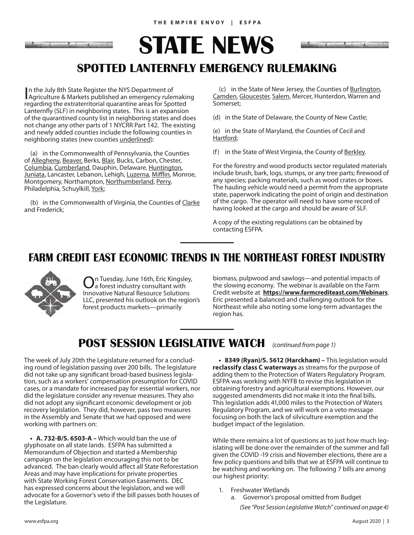

**STATE NEWS**



## **SPOTTED LANTERNFLY EMERGENCY RULEMAKING**

In the July 8th State Register the NYS Department of<br>Agriculture & Markets published an emergency rulemaking n the July 8th State Register the NYS Department of regarding the extraterritorial quarantine areas for Spotted Lanternfly (SLF) in neighboring states. This is an expansion of the quarantined county list in neighboring states and does not change any other parts of 1 NYCRR Part 142. The existing and newly added counties include the following counties in neighboring states (new counties underlined):

(a) in the Commonwealth of Pennsylvania, the Counties of Allegheny, Beaver, Berks, Blair, Bucks, Carbon, Chester, Columbia, Cumberland, Dauphin, Delaware, Huntington, Juniata, Lancaster, Lebanon, Lehigh, Luzerna, Mifflin, Monroe, Montgomery, Northampton, Northumberland, Perry, Philadelphia, Schuylkill, York;

(b) in the Commonwealth of Virginia, the Counties of Clarke and Frederick;

(c) in the State of New Jersey, the Counties of Burlington, Camden, Gloucester, Salem, Mercer, Hunterdon, Warren and Somerset;

(d) in the State of Delaware, the County of New Castle;

(e) in the State of Maryland, the Counties of Cecil and Hartford;

(f) in the State of West Virginia, the County of Berkley.

For the forestry and wood products sector regulated materials include brush, bark, logs, stumps, or any tree parts; firewood of any species; packing materials, such as wood crates or boxes. The hauling vehicle would need a permit from the appropriate state, paperwork indicating the point of origin and destination of the cargo. The operator will need to have some record of having looked at the cargo and should be aware of SLF.

A copy of the existing regulations can be obtained by contacting ESFPA.

### **FARM CREDIT EAST ECONOMIC TRENDS IN THE NORTHEAST FOREST INDUSTRY**



On Tuesday, June 16th, Eric Kingsley, a forest industry consultant with Innovative Natural Resource Solutions LLC, presented his outlook on the region's forest products markets—primarily

biomass, pulpwood and sawlogs—and potential impacts of the slowing economy. The webinar is available on the Farm Credit website at **https://www.farmcrediteast.com/Webinars**. Eric presented a balanced and challenging outlook for the Northeast while also noting some long-term advantages the region has.

## **POST SESSION LEGISLATIVE WATCH** (continued from page 1)

The week of July 20th the Legislature returned for a concluding round of legislation passing over 200 bills. The legislature did not take up any significant broad-based business legislation, such as a workers' compensation presumption for COVID cases, or a mandate for increased pay for essential workers, nor did the legislature consider any revenue measures. They also did not adopt any significant economic development or job recovery legislation. They did, however, pass two measures in the Assembly and Senate that we had opposed and were working with partners on:

**• A. 732-B/S. 6503-A –** Which would ban the use of glyphosate on all state lands. ESFPA has submitted a Memorandum of Objection and started a Membership campaign on the legislation encouraging this not to be advanced. The ban clearly would affect all State Reforestation Areas and may have implications for private properties with State Working Forest Conservation Easements. DEC has expressed concerns about the legislation, and we will advocate for a Governor's veto if the bill passes both houses of the Legislature.

**• 8349 (Ryan)/S. 5612 (Harckham) –** This legislation would **reclassify class C waterways** as streams for the purpose of adding them to the Protection of Waters Regulatory Program. ESFPA was working with NYFB to revise this legislation in obtaining forestry and agricultural exemptions. However, our suggested amendments did not make it into the final bills. This legislation adds 41,000 miles to the Protection of Waters Regulatory Program, and we will work on a veto message focusing on both the lack of silviculture exemption and the budget impact of the legislation.

While there remains a lot of questions as to just how much legislating will be done over the remainder of the summer and fall given the COVID -19 crisis and November elections, there are a few policy questions and bills that we at ESFPA will continue to be watching and working on. The following 7 bills are among our highest priority:

- 1. Freshwater Wetlands
	- a. Governor's proposal omitted from Budget

*(See "Post Session Legislative Watch" continued on page 4)*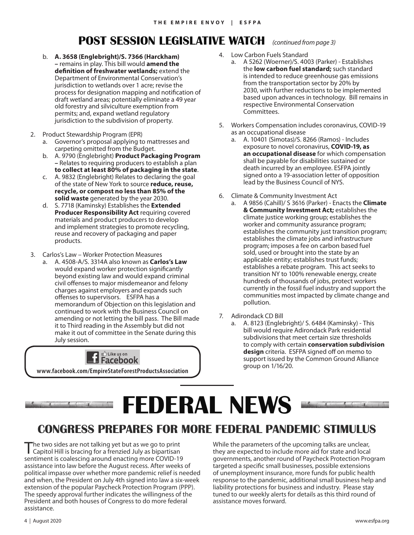## **POST SESSION LEGISLATIVE WATCH** *(continued from page 3)*

- b. **A. 3658 (Englebright)/S. 7366 (Harckham) –** remains in play. This bill would **amend the definition of freshwater wetlands;** extend the Department of Environmental Conservation's jurisdiction to wetlands over 1 acre; revise the process for designation mapping and notification of draft wetland areas; potentially eliminate a 49 year old forestry and silviculture exemption from permits; and, expand wetland regulatory jurisdiction to the subdivision of property.
- 2. Product Stewardship Program (EPR)
	- a. Governor's proposal applying to mattresses and carpeting omitted from the Budget.
	- b. A. 9790 (Englebright) **Product Packaging Program –** Relates to requiring producers to establish a plan **to collect at least 80% of packaging in the state**.
	- c. A. 9832 (Englebright) Relates to declaring the goal of the state of New York to source **reduce, reuse, recycle, or compost no less than 85% of the solid waste** generated by the year 2030.
	- d. S. 7718 (Kaminsky) Establishes the **Extended Producer Responsibility Act** requiring covered materials and product producers to develop and implement strategies to promote recycling, reuse and recovery of packaging and paper products.
- 3. Carlos's Law Worker Protection Measures
- a. A. 4508-A/S. 3314A also known as **Carlos's Law** would expand worker protection significantly beyond existing law and would expand criminal civil offenses to major misdemeanor and felony charges against employers and expands such offenses to supervisors. ESFPA has a memorandum of Objection on this legislation and continued to work with the Business Council on amending or not letting the bill pass. The Bill made it to Third reading in the Assembly but did not make it out of committee in the Senate during this July session.



- 4. Low Carbon Fuels Standard
	- a. A 5262 (Woerner)/S. 4003 (Parker) Establishes the **low carbon fuel standard;** such standard is intended to reduce greenhouse gas emissions from the transportation sector by 20% by 2030, with further reductions to be implemented based upon advances in technology. Bill remains in respective Environmental Conservation Committees.
- 5. Workers Compensation includes coronavirus, COVID-19 as an occupational disease
	- a. A. 10401 (Simotas)/S. 8266 (Ramos) Includes exposure to novel coronavirus, **COVID-19, as an occupational disease** for which compensation shall be payable for disabilities sustained or death incurred by an employee. ESFPA jointly signed onto a 19-association letter of opposition lead by the Business Council of NYS.
- 6. Climate & Community Investment Act
	- a. A 9856 (Cahill)/ S 3616 (Parker) Enacts the **Climate & Community Investment Act;** establishes the climate justice working group; establishes the worker and community assurance program; establishes the community just transition program; establishes the climate jobs and infrastructure program; imposes a fee on carbon based fuel sold, used or brought into the state by an applicable entity; establishes trust funds; establishes a rebate program. This act seeks to transition NY to 100% renewable energy, create hundreds of thousands of jobs, protect workers currently in the fossil fuel industry and support the communities most impacted by climate change and pollution.
- 7. Adirondack CD Bill
	- a. A. 8123 (Englebright)/ S. 6484 (Kaminsky) This bill would require Adirondack Park residential subdivisions that meet certain size thresholds to comply with certain **conservation subdivision design** criteria. ESFPA signed off on memo to support issued by the Common Ground Alliance group on 1/16/20.

## **FEDERAL NEWS**

## **CONGRESS PREPARES FOR MORE FEDERAL PANDEMIC STIMULUS**

The two sides are not talking yet but as we go to print Capitol Hill is bracing for a frenzied July as bipartisan sentiment is coalescing around enacting more COVID-19 assistance into law before the August recess. After weeks of political impasse over whether more pandemic relief is needed and when, the President on July 4th signed into law a six-week extension of the popular Paycheck Protection Program (PPP). The speedy approval further indicates the willingness of the President and both houses of Congress to do more federal assistance.

While the parameters of the upcoming talks are unclear, they are expected to include more aid for state and local governments, another round of Paycheck Protection Program targeted a specific small businesses, possible extensions of unemployment insurance, more funds for public health response to the pandemic, additional small business help and liability protections for business and industry. Please stay tuned to our weekly alerts for details as this third round of assistance moves forward.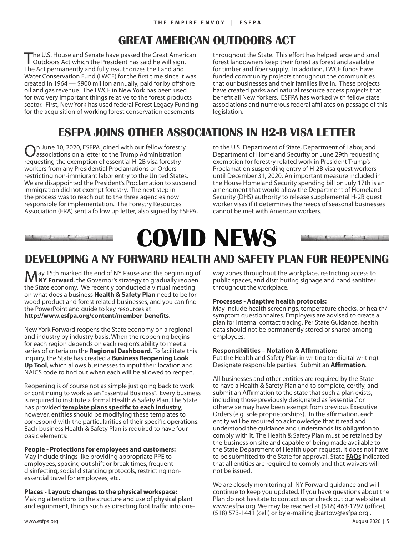## **GREAT AMERICAN OUTDOORS ACT**

The U.S. House and Senate have passed the Great American Outdoors Act which the President has said he will sign. The Act permanently and fully reauthorizes the Land and Water Conservation Fund (LWCF) for the first time since it was created in 1964 — \$900 million annually, paid for by offshore oil and gas revenue. The LWCF in New York has been used for two very important things relative to the forest products sector. First, New York has used federal Forest Legacy Funding for the acquisition of working forest conservation easements

throughout the State. This effort has helped large and small forest landowners keep their forest as forest and available for timber and fiber supply. In addition, LWCF funds have funded community projects throughout the communities that our businesses and their families live in. These projects have created parks and natural resource access projects that benefit all New Yorkers. ESFPA has worked with fellow state associations and numerous federal affiliates on passage of this legislation.

## **ESFPA JOINS OTHER ASSOCIATIONS IN H2-B VISA LETTER**

n June 10, 2020, ESFPA joined with our fellow forestry associations on a letter to the Trump Administration requesting the exemption of essential H-2B visa forestry workers from any Presidential Proclamations or Orders restricting non-immigrant labor entry to the United States. We are disappointed the President's Proclamation to suspend immigration did not exempt forestry. The next step in the process was to reach out to the three agencies now responsible for implementation. The Forestry Resources Association (FRA) sent a follow up letter, also signed by ESFPA, to the U.S. Department of State, Department of Labor, and Department of Homeland Security on June 29th requesting exemption for forestry related work in President Trump's Proclamation suspending entry of H-2B visa guest workers until December 31, 2020. An important measure included in the House Homeland Security spending bill on July 17th is an amendment that would allow the Department of Homeland Security (DHS) authority to release supplemental H-2B guest worker visas if it determines the needs of seasonal businesses cannot be met with American workers.

## **COVID NEWS** $\sim$

## **DEVELOPING A NY FORWARD HEALTH AND SAFETY PLAN FOR REOPENING**

May 15th marked the end of NY Pause and the beginning of **NY Forward**, the Governor's strategy to gradually reopen the State economy. We recently conducted a virtual meeting on what does a business **Health & Safety Plan** need to be for wood product and forest related businesses, and you can find the PowerPoint and guide to key resources at **http://www.esfpa.org/content/member-benefits**.

New York Forward reopens the State economy on a regional and industry by industry basis. When the reopening begins for each region depends on each region's ability to meet a series of criteria on the **Regional Dashboard**. To facilitate this inquiry, the State has created a **Business Reopening Look Up Tool**, which allows businesses to input their location and NAICS code to find out when each will be allowed to reopen.

Reopening is of course not as simple just going back to work or continuing to work as an "Essential Business". Every business is required to institute a formal Health & Safety Plan. The State has provided **template plans specific to each industry**; however, entities should be modifying these templates to correspond with the particularities of their specific operations. Each business Health & Safety Plan is required to have four basic elements:

#### **People - Protections for employees and customers:**

May include things like providing appropriate PPE to employees, spacing out shift or break times, frequent disinfecting, social distancing protocols, restricting nonessential travel for employees, etc.

**Places - Layout: changes to the physical workspace:** Making alterations to the structure and use of physical plant and equipment, things such as directing foot traffic into oneway zones throughout the workplace, restricting access to public spaces, and distributing signage and hand sanitizer throughout the workplace.

#### **Processes - Adaptive health protocols:**

May include health screenings, temperature checks, or health/ symptom questionnaires. Employers are advised to create a plan for internal contact tracing. Per State Guidance, health data should not be permanently stored or shared among employees.

#### **Responsibilities – Notation & Affirmation:**

Put the Health and Safety Plan in writing (or digital writing). Designate responsible parties. Submit an **Affirmation**.

All businesses and other entities are required by the State to have a Health & Safety Plan and to complete, certify, and submit an Affirmation to the state that such a plan exists, including those previously designated as "essential." or otherwise may have been exempt from previous Executive Orders (e.g. sole proprietorships). In the affirmation, each entity will be required to acknowledge that it read and understood the guidance and understands its obligation to comply with it. The Health & Safety Plan must be retained by the business on site and capable of being made available to the State Department of Health upon request. It does not have to be submitted to the State for approval. State **FAQs** indicated that all entities are required to comply and that waivers will not be issued.

We are closely monitoring all NY Forward guidance and will continue to keep you updated. If you have questions about the Plan do not hesitate to contact us or check out our web site at www.esfpa.org We may be reached at (518) 463-1297 (office), (518) 573-1441 (cell) or by e-mailing jbartow@esfpa.org .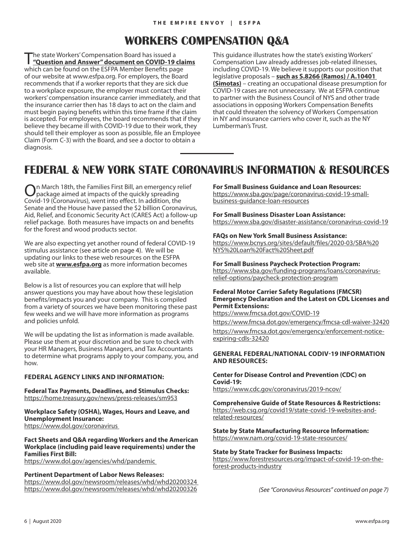## **WORKERS COMPENSATION Q&A**

The state Workers' Compensation Board has issued a<br>
"**Question and Answer" document on COVID-19 claims** which can be found on the ESFPA Member Benefits page of our website at www.esfpa.org. For employers, the Board recommends that if a worker reports that they are sick due to a workplace exposure, the employer must contact their workers' compensation insurance carrier immediately, and that the insurance carrier then has 18 days to act on the claim and must begin paying benefits within this time frame if the claim is accepted. For employees, the board recommends that if they believe they became ill with COVID-19 due to their work, they should tell their employer as soon as possible, file an Employee Claim (Form C-3) with the Board, and see a doctor to obtain a diagnosis.

This guidance illustrates how the state's existing Workers' Compensation Law already addresses job-related illnesses, including COVID-19. We believe it supports our position that legislative proposals – **such as S.8266 (Ramos) / A.10401 (Simotas)** – creating an occupational disease presumption for COVID-19 cases are not unnecessary. We at ESFPA continue to partner with the Business Council of NYS and other trade associations in opposing Workers Compensation Benefits that could threaten the solvency of Workers Compensation in NY and insurance carriers who cover it, such as the NY Lumberman's Trust.

## **FEDERAL & NEW YORK STATE CORONAVIRUS INFORMATION & RESOURCES**

n March 18th, the Families First Bill, an emergency relief package aimed at impacts of the quickly spreading Covid-19 (Coronavirus), went into effect. In addition, the Senate and the House have passed the \$2 billion Coronavirus, Aid, Relief, and Economic Security Act (CARES Act) a follow-up relief package. Both measures have impacts on and benefits for the forest and wood products sector.

We are also expecting yet another round of federal COVID-19 stimulus assistance (see article on page 4). We will be updating our links to these web resources on the ESFPA web site at **www.esfpa.org** as more information becomes available.

Below is a list of resources you can explore that will help answer questions you may have about how these legislation benefits/impacts you and your company. This is compiled from a variety of sources we have been monitoring these past few weeks and we will have more information as programs and policies unfold.

We will be updating the list as information is made available. Please use them at your discretion and be sure to check with your HR Managers, Business Managers, and Tax Accountants to determine what programs apply to your company, you, and how.

#### **FEDERAL AGENCY LINKS AND INFORMATION:**

**Federal Tax Payments, Deadlines, and Stimulus Checks:**  https://home.treasury.gov/news/press-releases/sm953

**Workplace Safety (OSHA), Wages, Hours and Leave, and Unemployment Insurance:** https://www.dol.gov/coronavirus

**Fact Sheets and Q&A regarding Workers and the American Workplace (including paid leave requirements) under the Families First Bill:**

https://www.dol.gov/agencies/whd/pandemic

#### **Pertinent Department of Labor News Releases:**

https://www.dol.gov/newsroom/releases/whd/whd20200324 https://www.dol.gov/newsroom/releases/whd/whd20200326

#### **For Small Business Guidance and Loan Resources:**

https://www.sba.gov/page/coronavirus-covid-19-smallbusiness-guidance-loan-resources

#### **For Small Business Disaster Loan Assistance:** https://www.sba.gov/disaster-assistance/coronavirus-covid-19

#### **FAQs on New York Small Business Assistance:**

https://www.bcnys.org/sites/default/files/2020-03/SBA%20 NYS%20Loan%20Fact%20Sheet.pdf

#### **For Small Business Paycheck Protection Program:**

https://www.sba.gov/funding-programs/loans/coronavirusrelief-options/paycheck-protection-program

#### **Federal Motor Carrier Safety Regulations (FMCSR) Emergency Declaration and the Latest on CDL Licenses and Permit Extensions:**

https://www.fmcsa.dot.gov/COVID-19

https://www.fmcsa.dot.gov/emergency/fmcsa-cdl-waiver-32420 https://www.fmcsa.dot.gov/emergency/enforcement-noticeexpiring-cdls-32420

#### **GENERAL FEDERAL/NATIONAL CODIV-19 INFORMATION AND RESOURCES:**

**Center for Disease Control and Prevention (CDC) on Covid-19:** 

https://www.cdc.gov/coronavirus/2019-ncov/

#### **Comprehensive Guide of State Resources & Restrictions:**  https://web.csg.org/covid19/state-covid-19-websites-andrelated-resources/

**State by State Manufacturing Resource Information:**  https://www.nam.org/covid-19-state-resources/

#### **State by State Tracker for Business Impacts:**

https://www.forestresources.org/impact-of-covid-19-on-theforest-products-industry

*(See "Coronavirus Resources" continued on page 7)*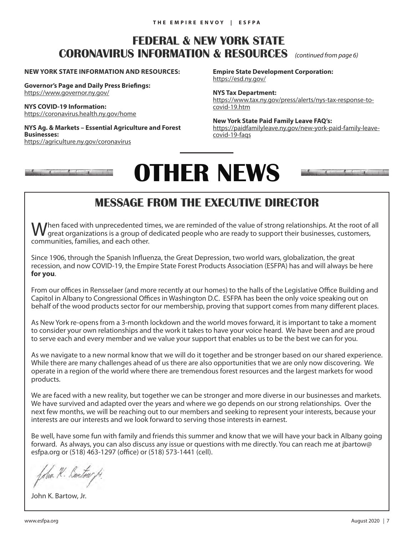## **FEDERAL & NEW YORK STATE CORONAVIRUS INFORMATION & RESOURCES** *(continued from page 6)*

#### **NEW YORK STATE INFORMATION AND RESOURCES:**

**Governor's Page and Daily Press Briefings:**  https://www.governor.ny.gov/

**NYS COVID-19 Information:**  https://coronavirus.health.ny.gov/home

#### **NYS Ag. & Markets – Essential Agriculture and Forest Businesses:**

https://agriculture.ny.gov/coronavirus

**Empire State Development Corporation:**  https://esd.ny.gov/

**NYS Tax Department:**

https://www.tax.ny.gov/press/alerts/nys-tax-response-tocovid-19.htm

**New York State Paid Family Leave FAQ's:**  https://paidfamilyleave.ny.gov/new-york-paid-family-leavecovid-19-faqs

# **OTHER NEWS**



## **MESSAGE FROM THE EXECUTIVE DIRECTOR**

 $\int$ hen faced with unprecedented times, we are reminded of the value of strong relationships. At the root of all great organizations is a group of dedicated people who are ready to support their businesses, customers, communities, families, and each other.

Since 1906, through the Spanish Influenza, the Great Depression, two world wars, globalization, the great recession, and now COVID-19, the Empire State Forest Products Association (ESFPA) has and will always be here **for you**.

From our offices in Rensselaer (and more recently at our homes) to the halls of the Legislative Office Building and Capitol in Albany to Congressional Offices in Washington D.C. ESFPA has been the only voice speaking out on behalf of the wood products sector for our membership, proving that support comes from many different places.

As New York re-opens from a 3-month lockdown and the world moves forward, it is important to take a moment to consider your own relationships and the work it takes to have your voice heard. We have been and are proud to serve each and every member and we value your support that enables us to be the best we can for you.

As we navigate to a new normal know that we will do it together and be stronger based on our shared experience. While there are many challenges ahead of us there are also opportunities that we are only now discovering. We operate in a region of the world where there are tremendous forest resources and the largest markets for wood products.

We are faced with a new reality, but together we can be stronger and more diverse in our businesses and markets. We have survived and adapted over the years and where we go depends on our strong relationships. Over the next few months, we will be reaching out to our members and seeking to represent your interests, because your interests are our interests and we look forward to serving those interests in earnest.

Be well, have some fun with family and friends this summer and know that we will have your back in Albany going forward. As always, you can also discuss any issue or questions with me directly. You can reach me at jbartow@ esfpa.org or (518) 463-1297 (office) or (518) 573-1441 (cell).

Am R. Bartow

John K. Bartow, Jr.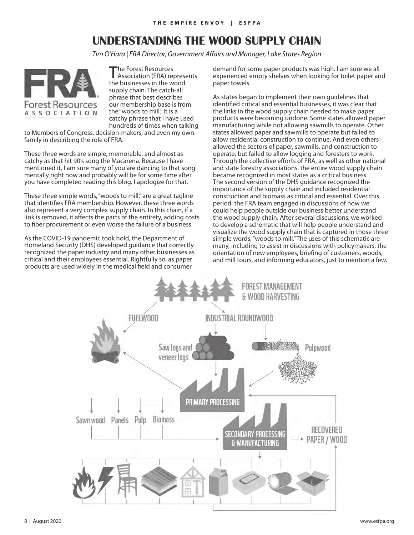## **UNDERSTANDING THE WOOD SUPPLY CHAIN**

*Tim O'Hara | FRA Director, Government Affairs and Manager, Lake States Region*



The Forest Resources<br>Association (FRA) represents the businesses in the wood supply chain. The catch-all phrase that best describes our membership base is from the "woods to mill." It is a catchy phrase that I have used hundreds of times when talking

to Members of Congress, decision-makers, and even my own family in describing the role of FRA.

These three words are simple, memorable, and almost as catchy as that hit 90's song the Macarena. Because I have mentioned it, I am sure many of you are dancing to that song mentally right now and probably will be for some time after you have completed reading this blog. I apologize for that.

These three simple words, "woods to mill," are a great tagline that identifies FRA membership. However, these three words also represent a very complex supply chain. In this chain, if a link is removed, it affects the parts of the entirety, adding costs to fiber procurement or even worse the failure of a business.

As the COVID-19 pandemic took hold, the Department of Homeland Security (DHS) developed guidance that correctly recognized the paper industry and many other businesses as critical and their employees essential. Rightfully so, as paper products are used widely in the medical field and consumer

demand for some paper products was high. I am sure we all experienced empty shelves when looking for toilet paper and paper towels.

As states began to implement their own guidelines that identified critical and essential businesses, it was clear that the links in the wood supply chain needed to make paper products were becoming undone. Some states allowed paper manufacturing while not allowing sawmills to operate. Other states allowed paper and sawmills to operate but failed to allow residential construction to continue. And even others allowed the sectors of paper, sawmills, and construction to operate, but failed to allow logging and foresters to work. Through the collective efforts of FRA, as well as other national and state forestry associations, the entire wood supply chain became recognized in most states as a critical business. The second version of the DHS guidance recognized the importance of the supply chain and included residential construction and biomass as critical and essential. Over this period, the FRA team engaged in discussions of how we could help people outside our business better understand the wood supply chain. After several discussions, we worked to develop a schematic that will help people understand and visualize the wood supply chain that is captured in those three simple words, "woods to mill." The uses of this schematic are many, including to assist in discussions with policymakers, the orientation of new employees, briefing of customers, woods, and mill tours, and informing educators, just to mention a few.

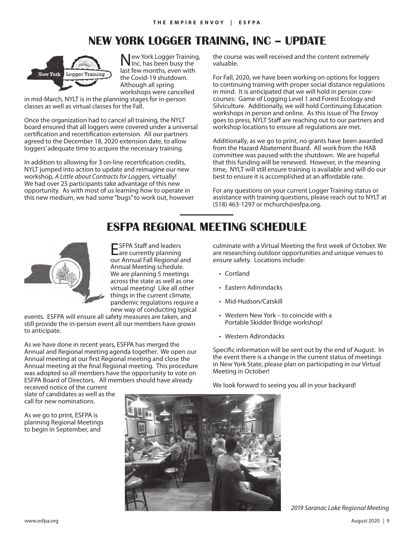## **NEW YORK LOGGER TRAINING, INC – UPDATE**



New York Logger Training, Inc. has been busy the last few months, even with the Covid-19 shutdown. Although all spring workshops were cancelled

in mid-March, NYLT is in the planning stages for in-person classes as well as virtual classes for the Fall.

Once the organization had to cancel all training, the NYLT board ensured that all loggers were covered under a universal certification and recertification extension. All our partners agreed to the December 18, 2020 extension date, to allow loggers' adequate time to acquire the necessary training.

In addition to allowing for 3 on-line recertification credits, NYLT jumped into action to update and reimagine our new workshop, *A Little about Contracts for Loggers,* virtually! We had over 25 participants take advantage of this new opportunity. As with most of us learning how to operate in this new medium, we had some "bugs" to work out, however the course was well received and the content extremely valuable.

For Fall, 2020, we have been working on options for loggers to continuing training with proper social distance regulations in mind. It is anticipated that we will hold in person corecourses: Game of Logging Level 1 and Forest Ecology and Silviculture. Additionally, we will hold Continuing Education workshops in person and online. As this issue of The Envoy goes to press, NYLT Staff are reaching out to our partners and workshop locations to ensure all regulations are met.

Additionally, as we go to print, no grants have been awarded from the Hazard Abatement Board. All work from the HAB committee was paused with the shutdown. We are hopeful that this funding will be renewed. However, in the meaning time, NYLT will still ensure training is available and will do our best to ensure it is accomplished at an affordable rate.

For any questions on your current Logger Training status or assistance with training questions, please reach out to NYLT at (518) 463-1297 or mchurch@esfpa.org.

## **ESFPA REGIONAL MEETING SCHEDULE**



ESFPA Staff and leaders are currently planning our Annual Fall Regional and Annual Meeting schedule. We are planning 5 meetings across the state as well as one virtual meeting! Like all other things in the current climate, pandemic regulations require a new way of conducting typical

events. ESFPA will ensure all safety measures are taken, and **ESFPA Regional Meeting Schedule** still provide the in-person event all our members have grown Portable Skidder Bri<br>to anticipate to anticipate.

As we have done in recent years, ESFPA has merged the the new way of conducting typical events. The Annual and Regional meeting agenda together. We open our specific information will Annual meeting at our first Regional meeting and close the Annual meeting at the final Regional meeting. This procedure was adopted so all members have the opportunity to vote on lack-Meeting in October! ESFPA Board of Directors. All members should have already Melook forward to se

received notice of the current received notice of the current<br>slate of candidates as well as the state of called actions as from a

As we go to print, ESFPA is planning Regional Meetings to begin in September, and culminate with a Virtual Meeting the first week of October. We are researching outdoor opportunities and unique venues to ensure safety. Locations include:

- Cortland
- Eastern Adirondacks
- Mid-Hudson/Catskill
- Western New York to coincide with a Portable Skidder Bridge workshop!
- extern Adirondacks across the state as well as well as well as well as well as well as well as well as well as well as well as well as well as well as well as well as well as well as well as well as well as well as well as

Specific information will be sent out by the end of August. In the event there is a change in the current status of meetings in New York State, please plan on participating in our Virtual Meeting in October!

We look forward to seeing you all in your backyard!



*2019 Saranac Lake Regional Meeting*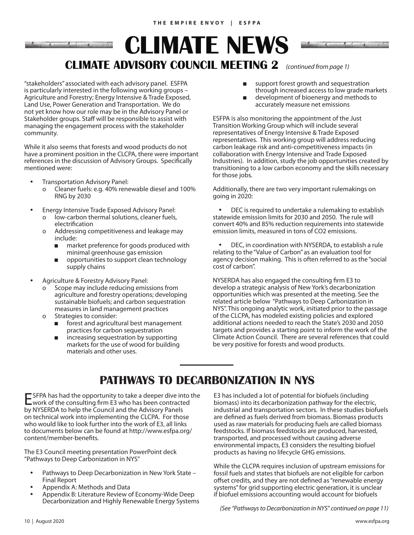## **CLIMATE NEWS CLIMATE ADVISORY COUNCIL MEETING 2** *(continued from page 1)*

"stakeholders" associated with each advisory panel. ESFPA is particularly interested in the following working groups – Agriculture and Forestry; Energy Intensive & Trade Exposed, Land Use, Power Generation and Transportation. We do not yet know how our role may be in the Advisory Panel or Stakeholder groups. Staff will be responsible to assist with managing the engagement process with the stakeholder community.

While it also seems that forests and wood products do not have a prominent position in the CLCPA, there were important references in the discussion of Advisory Groups. Specifically mentioned were:

- Transportation Advisory Panel:
	- o Cleaner fuels: e.g. 40% renewable diesel and 100% RNG by 2030
- Energy Intensive Trade Exposed Advisory Panel:
	- o low-carbon thermal solutions, cleaner fuels, electrification
	- o Addressing competitiveness and leakage may include:
		- market preference for goods produced with minimal greenhouse gas emission
		- opportunities to support clean technology supply chains
- Agriculture & Forestry Advisory Panel:
	- o Scope may include reducing emissions from agriculture and forestry operations; developing sustainable biofuels; and carbon sequestration measures in land management practices
	- o Strategies to consider:
		- forest and agricultural best management practices for carbon sequestration
		- increasing sequestration by supporting markets for the use of wood for building materials and other uses.
- 
- support forest growth and sequestration
- through increased access to low grade markets development of bioenergy and methods to
- accurately measure net emissions

ESFPA is also monitoring the appointment of the Just Transition Working Group which will include several representatives of Energy Intensive & Trade Exposed representatives. This working group will address reducing carbon leakage risk and anti-competitiveness impacts (in collaboration with Energy Intensive and Trade Exposed Industries). In addition, study the job opportunities created by transitioning to a low carbon economy and the skills necessary for those jobs.

Additionally, there are two very important rulemakings on going in 2020:

• DEC is required to undertake a rulemaking to establish statewide emission limits for 2030 and 2050. The rule will convert 40% and 85% reduction requirements into statewide emission limits, measured in tons of CO2 emissions.

• DEC, in coordination with NYSERDA, to establish a rule relating to the "Value of Carbon" as an evaluation tool for agency decision making. This is often referred to as the "social cost of carbon".

NYSERDA has also engaged the consulting firm E3 to develop a strategic analysis of New York's decarbonization opportunities which was presented at the meeting. See the related article below "Pathways to Deep Carbonization in NYS". This ongoing analytic work, initiated prior to the passage of the CLCPA, has modeled existing policies and explored additional actions needed to reach the State's 2030 and 2050 targets and provides a starting point to inform the work of the Climate Action Council. There are several references that could be very positive for forests and wood products.

## **PATHWAYS TO DECARBONIZATION IN NYS**

ESFPA has had the opportunity to take a deeper dive into the work of the consulting firm E3 who has been contracted by NYSERDA to help the Council and the Advisory Panels on technical work into implementing the CLCPA. For those who would like to look further into the work of E3, all links to documents below can be found at http://www.esfpa.org/ content/member-benefits.

The E3 Council meeting presentation PowerPoint deck "Pathways to Deep Carbonization in NYS"

- Pathways to Deep Decarbonization in New York State Final Report
- Appendix A: Methods and Data
- Appendix B: Literature Review of Economy-Wide Deep Decarbonization and Highly Renewable Energy Systems

E3 has included a lot of potential for biofuels (including biomass) into its decarbonization pathway for the electric, industrial and transportation sectors. In these studies biofuels are defined as fuels derived from biomass. Biomass products used as raw materials for producing fuels are called biomass feedstocks. If biomass feedstocks are produced, harvested, transported, and processed without causing adverse environmental impacts, E3 considers the resulting biofuel products as having no lifecycle GHG emissions.

While the CLCPA requires inclusion of upstream emissions for fossil fuels and states that biofuels are not eligible for carbon offset credits, and they are not defined as "renewable energy systems" for grid supporting electric generation, it is unclear if biofuel emissions accounting would account for biofuels

*(See "Pathways to Decarbonization in NYS" continued on page 11)*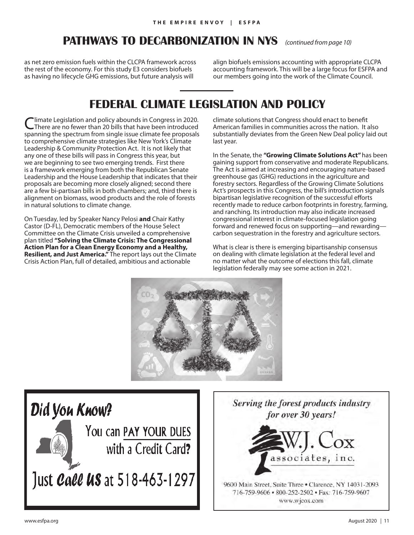## **PATHWAYS TO DECARBONIZATION IN NYS** *(continued from page 10)*

as net zero emission fuels within the CLCPA framework across the rest of the economy. For this study E3 considers biofuels as having no lifecycle GHG emissions, but future analysis will

align biofuels emissions accounting with appropriate CLCPA accounting framework. This will be a large focus for ESFPA and our members going into the work of the Climate Council.

## **FEDERAL CLIMATE LEGISLATION AND POLICY**

Ilmate Legislation and policy abounds in Congress in 2020. There are no fewer than 20 bills that have been introduced spanning the spectrum from single issue climate fee proposals to comprehensive climate strategies like New York's Climate Leadership & Community Protection Act. It is not likely that any one of these bills will pass in Congress this year, but we are beginning to see two emerging trends. First there is a framework emerging from both the Republican Senate Leadership and the House Leadership that indicates that their proposals are becoming more closely aligned; second there are a few bi-partisan bills in both chambers; and, third there is alignment on biomass, wood products and the role of forests in natural solutions to climate change.

On Tuesday, led by Speaker Nancy Pelosi **and** Chair Kathy Castor (D-FL), Democratic members of the House Select Committee on the Climate Crisis unveiled a comprehensive plan titled **"Solving the Climate Crisis: The Congressional Action Plan for a Clean Energy Economy and a Healthy, Resilient, and Just America."** The report lays out the Climate Crisis Action Plan, full of detailed, ambitious and actionable

climate solutions that Congress should enact to benefit American families in communities across the nation. It also substantially deviates from the Green New Deal policy laid out last year.

In the Senate, the **"Growing Climate Solutions Act"** has been gaining support from conservative and moderate Republicans. The Act is aimed at increasing and encouraging nature-based greenhouse gas (GHG) reductions in the agriculture and forestry sectors. Regardless of the Growing Climate Solutions Act's prospects in this Congress, the bill's introduction signals bipartisan legislative recognition of the successful efforts recently made to reduce carbon footprints in forestry, farming, and ranching. Its introduction may also indicate increased congressional interest in climate-focused legislation going forward and renewed focus on supporting—and rewarding carbon sequestration in the forestry and agriculture sectors.

What is clear is there is emerging bipartisanship consensus on dealing with climate legislation at the federal level and no matter what the outcome of elections this fall, climate legislation federally may see some action in 2021.





Serving the forest products industry for over 30 years!



9600 Main Street, Suite Three . Clarence, NY 14031-2093 716-759-9606 · 800-252-2502 · Fax: 716-759-9607 www.wjcox.com